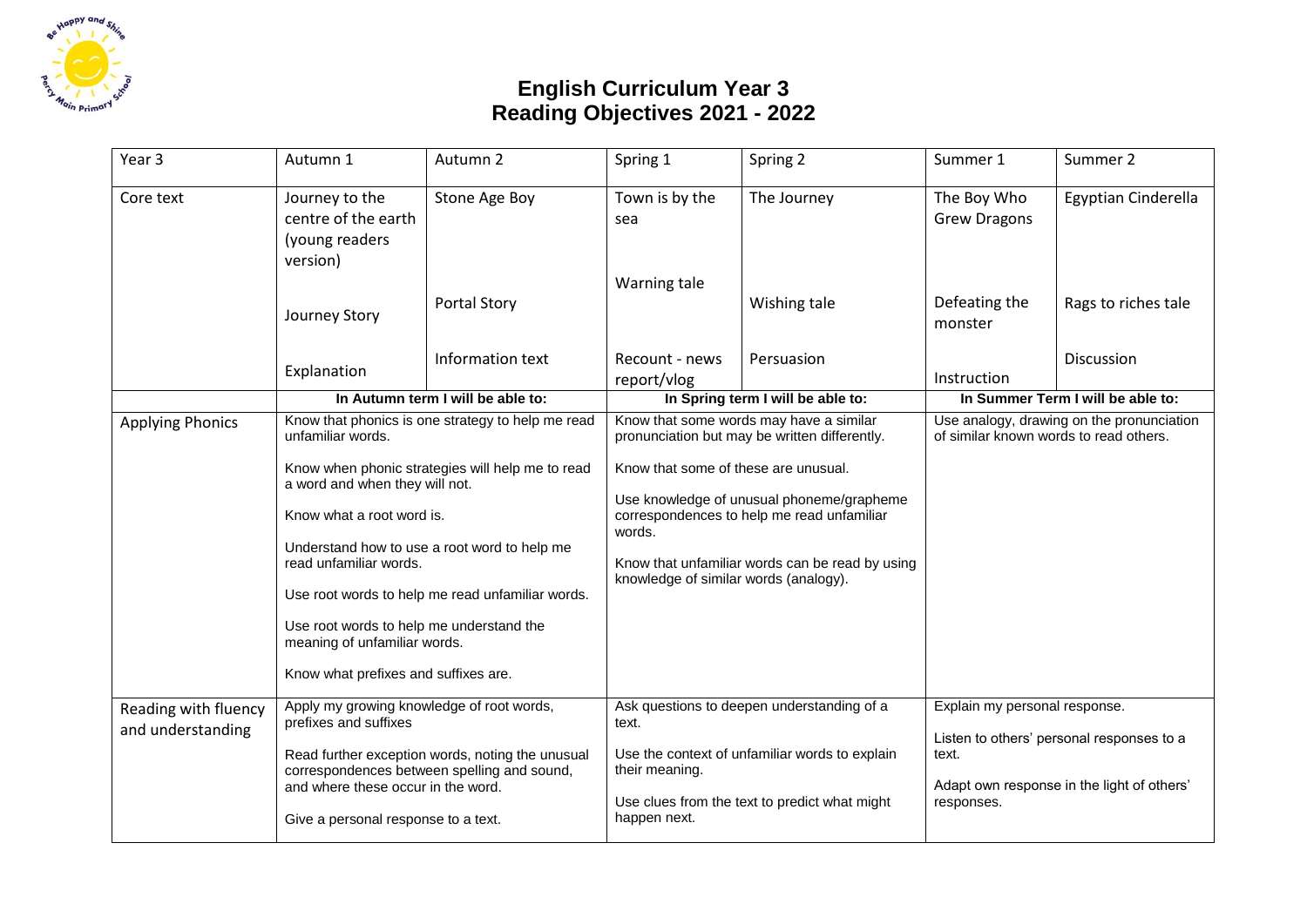

## **English Curriculum Year 3 Reading Objectives 2021 - 2022**

| Year 3                                    | Autumn 1                                                                                                                                                                                                                                                                                                                                                                                                                                    | Autumn 2                                                                                        | Spring 1                                                                                                                                                                                                                                                                                                                          | Spring 2                                                                                                                                      | Summer 1                                                                            | Summer 2                                                                                |
|-------------------------------------------|---------------------------------------------------------------------------------------------------------------------------------------------------------------------------------------------------------------------------------------------------------------------------------------------------------------------------------------------------------------------------------------------------------------------------------------------|-------------------------------------------------------------------------------------------------|-----------------------------------------------------------------------------------------------------------------------------------------------------------------------------------------------------------------------------------------------------------------------------------------------------------------------------------|-----------------------------------------------------------------------------------------------------------------------------------------------|-------------------------------------------------------------------------------------|-----------------------------------------------------------------------------------------|
| Core text                                 | Journey to the<br>centre of the earth<br>(young readers<br>version)                                                                                                                                                                                                                                                                                                                                                                         | Stone Age Boy                                                                                   | Town is by the<br>sea                                                                                                                                                                                                                                                                                                             | The Journey                                                                                                                                   | The Boy Who<br><b>Grew Dragons</b>                                                  | Egyptian Cinderella                                                                     |
|                                           | Journey Story                                                                                                                                                                                                                                                                                                                                                                                                                               | <b>Portal Story</b>                                                                             | Warning tale                                                                                                                                                                                                                                                                                                                      | Wishing tale                                                                                                                                  | Defeating the<br>monster                                                            | Rags to riches tale                                                                     |
|                                           | Explanation                                                                                                                                                                                                                                                                                                                                                                                                                                 | Information text                                                                                | Recount - news<br>report/vlog                                                                                                                                                                                                                                                                                                     | Persuasion                                                                                                                                    | Instruction                                                                         | Discussion                                                                              |
|                                           |                                                                                                                                                                                                                                                                                                                                                                                                                                             | In Autumn term I will be able to:                                                               | In Spring term I will be able to:                                                                                                                                                                                                                                                                                                 |                                                                                                                                               | In Summer Term I will be able to:                                                   |                                                                                         |
| <b>Applying Phonics</b>                   | Know that phonics is one strategy to help me read<br>unfamiliar words.<br>Know when phonic strategies will help me to read<br>a word and when they will not.<br>Know what a root word is.<br>Understand how to use a root word to help me<br>read unfamiliar words.<br>Use root words to help me read unfamiliar words.<br>Use root words to help me understand the<br>meaning of unfamiliar words.<br>Know what prefixes and suffixes are. |                                                                                                 | Know that some words may have a similar<br>pronunciation but may be written differently.<br>Know that some of these are unusual.<br>Use knowledge of unusual phoneme/grapheme<br>correspondences to help me read unfamiliar<br>words.<br>Know that unfamiliar words can be read by using<br>knowledge of similar words (analogy). |                                                                                                                                               | Use analogy, drawing on the pronunciation<br>of similar known words to read others. |                                                                                         |
| Reading with fluency<br>and understanding | Apply my growing knowledge of root words,<br>prefixes and suffixes<br>and where these occur in the word.<br>Give a personal response to a text.                                                                                                                                                                                                                                                                                             | Read further exception words, noting the unusual<br>correspondences between spelling and sound, | text.<br>their meaning.<br>happen next.                                                                                                                                                                                                                                                                                           | Ask questions to deepen understanding of a<br>Use the context of unfamiliar words to explain<br>Use clues from the text to predict what might | Explain my personal response.<br>text.<br>responses.                                | Listen to others' personal responses to a<br>Adapt own response in the light of others' |